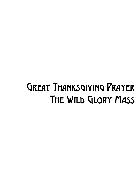## Great Thanksgiving Prayer The Wild Glory Mass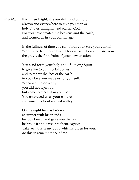*Presider* It is indeed right, it is our duty and our joy, always and everywhere to give you thanks, holy Father, almighty and eternal God. For you have created the heavens and the earth, and formed us in your own image.

> In the fullness of time you sent forth your Son, your eternal Word, who laid down his life for our salvation and rose from the grave, the first-fruits of your new creation.

You send forth your holy and life-giving Spirit to give life to our mortal bodies and to renew the face of the earth. in your love you made us for yourself. When we turned away you did not reject us, but came to meet us in your Son. You embraced us as your children welcomed us to sit and eat with you.

On the night he was betrayed, at supper with his friends he took bread, and gave you thanks; he broke it and gave it to them, saying: Take, eat; this is my body which is given for you; do this in remembrance of me.